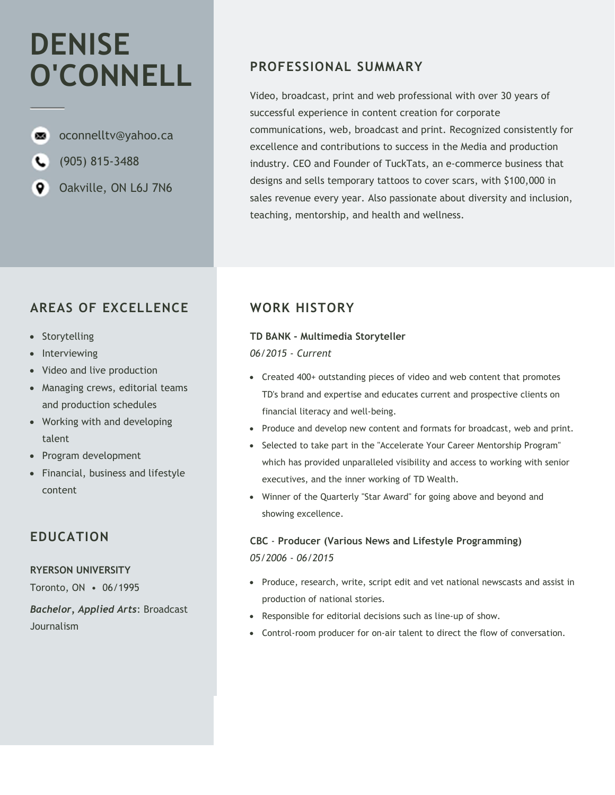# DENISE O'CONNELL

soconnelltv@yahoo.ca

- (905) 815-3488
- ۰ Oakville, ON L6J 7N6

# AREAS OF EXCELLENCE

- Storytelling
- Interviewing
- Video and live production
- Managing crews, editorial teams and production schedules
- Working with and developing talent
- Program development
- Financial, business and lifestyle content

## EDUCATION

## RYERSON UNIVERSITY

Toronto, ON • 06/1995

Bachelor, Applied Arts: Broadcast Journalism

# PROFESSIONAL SUMMARY

Video, broadcast, print and web professional with over 30 years of successful experience in content creation for corporate communications, web, broadcast and print. Recognized consistently for excellence and contributions to success in the Media and production industry. CEO and Founder of TuckTats, an e-commerce business that designs and sells temporary tattoos to cover scars, with \$100,000 in sales revenue every year. Also passionate about diversity and inclusion, teaching, mentorship, and health and wellness.

# WORK HISTORY

## TD BANK - Multimedia Storyteller

06/2015 - Current

- Created 400+ outstanding pieces of video and web content that promotes TD's brand and expertise and educates current and prospective clients on financial literacy and well-being.
- Produce and develop new content and formats for broadcast, web and print.
- Selected to take part in the "Accelerate Your Career Mentorship Program" which has provided unparalleled visibility and access to working with senior executives, and the inner working of TD Wealth.
- Winner of the Quarterly "Star Award" for going above and beyond and showing excellence.

## CBC - Producer (Various News and Lifestyle Programming) 05/2006 - 06/2015

- Produce, research, write, script edit and vet national newscasts and assist in production of national stories.
- Responsible for editorial decisions such as line-up of show.
- Control-room producer for on-air talent to direct the flow of conversation.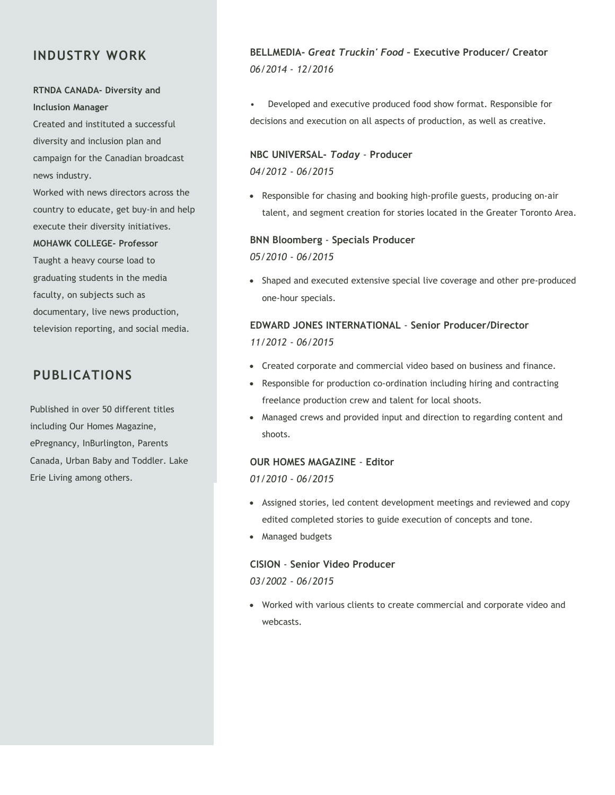## INDUSTRY WORK

## RTNDA CANADA- Diversity and Inclusion Manager

Created and instituted a successful diversity and inclusion plan and campaign for the Canadian broadcast news industry.

Worked with news directors across the country to educate, get buy-in and help execute their diversity initiatives.

#### MOHAWK COLLEGE- Professor

Taught a heavy course load to graduating students in the media faculty, on subjects such as documentary, live news production, television reporting, and social media.

## PUBLICATIONS

Published in over 50 different titles including Our Homes Magazine, ePregnancy, InBurlington, Parents Canada, Urban Baby and Toddler. Lake Erie Living among others.

## BELLMEDIA- Great Truckin' Food – Executive Producer/ Creator 06/2014 - 12/2016

• Developed and executive produced food show format. Responsible for decisions and execution on all aspects of production, as well as creative.

#### NBC UNIVERSAL- Today - Producer

04/2012 - 06/2015

 Responsible for chasing and booking high-profile guests, producing on-air talent, and segment creation for stories located in the Greater Toronto Area.

# BNN Bloomberg - Specials Producer

05/2010 - 06/2015

 Shaped and executed extensive special live coverage and other pre-produced one-hour specials.

## EDWARD JONES INTERNATIONAL - Senior Producer/Director 11/2012 - 06/2015

- Created corporate and commercial video based on business and finance.
- Responsible for production co-ordination including hiring and contracting freelance production crew and talent for local shoots.
- Managed crews and provided input and direction to regarding content and shoots.

## OUR HOMES MAGAZINE - Editor

01/2010 - 06/2015

- Assigned stories, led content development meetings and reviewed and copy edited completed stories to guide execution of concepts and tone.
- Managed budgets

## CISION - Senior Video Producer

03/2002 - 06/2015

 Worked with various clients to create commercial and corporate video and webcasts.